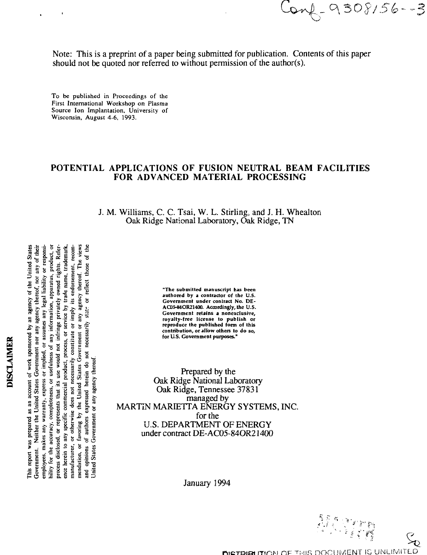$onf - 9308/56--3$ 

Note: This is a preprint of a paper being submitted for publication. Contents of this paper should not be quoted nor referred to without permission of the author(s).

To be published in Proceedings of the First International Workshop on Plasma Source Ion Implantation, University of Wisconsin, August 4-6, 1993.

#### **POTENTIAL APPLICATIONS OF FUSION NEUTRAL BEAM FACILITIES FOR ADVANCED MATERIAL PROCESSING**

J. M. Williams, C. C. Tsai, W. L. Stirling, and J. H. Whealton Oak Ridge National Laboratory, Oak Ridge, TN

> **"The submitted manuscript has been authored by a contractor of the U.S. Government under contract No. DE-AC0S-84OR21400. Accordingly, the U.S. Government retains a nonexclusive, royalty-free license to publish or reproduce the published form of this contribution, or allow others to do so, for U.S. Government purposes."**

Prepared by the Oak Ridge National Laboratory Oak Ridge, Tennessee 37831 managed by MARTIN MARIETTA ENERGY SYSTEMS, INC. for the U.S. DEPARTMENT OF ENERGY under contract DE-AC05-84OR21400

January 1994



employees, makes any warranty, express or implied, or assumes any legal liability or responsibility for the accuracy, completeness, or usefulness of any information, apparatus, product, or ence herein to any specific commercial product, process, or service by trade name, trademark manufacturer, or otherwise does not necessarily constitute or imply its endorsement, recom-<br>mendation, or favoring by the United States Government or any agency thereof. The views<br>and opinions of authors expressed herein d agency thereof. The views <u>Unite</u> or any **'i 1 a** nercial<br>3 not 1<br>United<br>1sed h<br>y agen **§ I** mpleter<br>ssents the<br>comm<br>se does<br> $y$  the U<br>express<br>express **| I s .21 a 8.** This re<br>Govern<br>smploy<br>bility fo

**\* 2 §**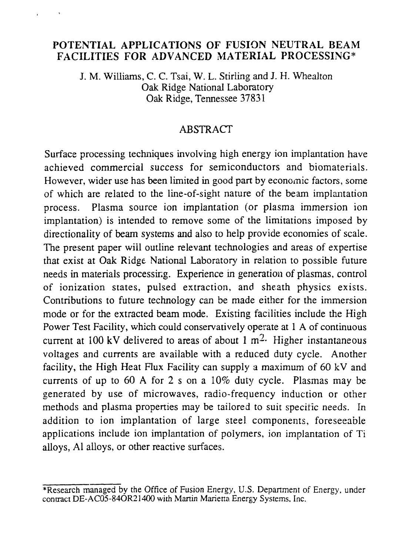### **POTENTIAL APPLICATIONS OF FUSION NEUTRAL BEAM FACILITIES FOR ADVANCED MATERIAL PROCESSING\***

J. M. Williams, C. C. Tsai, W. L. Stirling and J. H. Whealton Oak Ridge National Laboratory Oak Ridge, Tennessee 37831

### ABSTRACT

Surface processing techniques involving high energy ion implantation have achieved commercial success for semiconductors and biomaterials. However, wider use has been limited in good part by economic factors, some of which are related to the line-of-sight nature of the beam implantation process. Plasma source ion implantation (or plasma immersion ion implantation) is intended to remove some of the limitations imposed by directionality of beam systems and also to help provide economies of scale. The present paper will outline relevant technologies and areas of expertise that exist at Oak Ridge National Laboratory in relation to possible future needs in materials processing. Experience in generation of plasmas, control of ionization states, pulsed extraction, and sheath physics exists. Contributions to future technology can be made either for the immersion mode or for the extracted beam mode. Existing facilities include the High Power Test Facility, which could conservatively operate at 1 A of continuous current at 100 kV delivered to areas of about 1  $m<sup>2</sup>$ . Higher instantaneous voltages and currents are available with a reduced duty cycle. Another facility, the High Heat Flux Facility can supply a maximum of 60 kV and currents of up to 60 A for 2 s on a 10% duty cycle. Plasmas may be generated by use of microwaves, radio-frequency induction or other methods and plasma properties may be tailored to suit specific needs. In addition to ion implantation of large steel components, foreseeable applications include ion implantation of polymers, ion implantation of Ti alloys, Al alloys, or other reactive surfaces.

<sup>\*</sup>Research managed by the Office of Fusion Energy, U.S. Department of Energy, under contract DE-AC05-84OR21400 with Martin Marietta Energy Systems, Inc.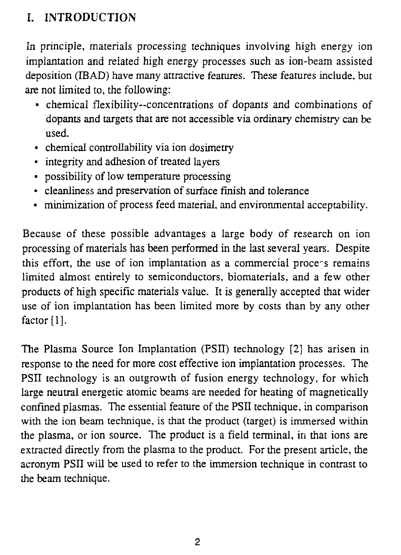## I. INTRODUCTION

In principle, materials processing techniques involving high energy ion implantation and related high energy processes such as ion-beam assisted deposition (IBAD) have many attractive features. These features include, but are not limited to, the following:

- chemical flexibility—concentrations of dopants and combinations of dopants and targets that are not accessible via ordinary chemistry can be used.
- chemical controllability via ion dosimetry
- integrity and adhesion of treated layers
- possibility of low temperature processing
- cleanliness and preservation of surface finish and tolerance
- minimization of process feed material, and environmental acceptability.

Because of these possible advantages a large body of research on ion processing of materials has been performed in the last several years. Despite this effort, the use of ion implantation as a commercial process remains limited almost entirely to semiconductors, biomaterials, and a few other products of high specific materials value. It is generally accepted that wider use of ion implantation has been limited more by costs than by any other factor [1].

The Plasma Source Ion Implantation (PSII) technology [2] has arisen in response to the need for more cost effective ion implantation processes. The PSII technology is an outgrowth of fusion energy technology, for which large neutral energetic atomic beams are needed for heating of magnetically confined plasmas. The essential feature of the PSII technique, in comparison with the ion beam technique, is that the product (target) is immersed within the plasma, or ion source. The product is a field terminal, in that ions are extracted directly from the plasma to the product. For the present article, the acronym PSII will be used to refer to the immersion technique in contrast to the beam technique.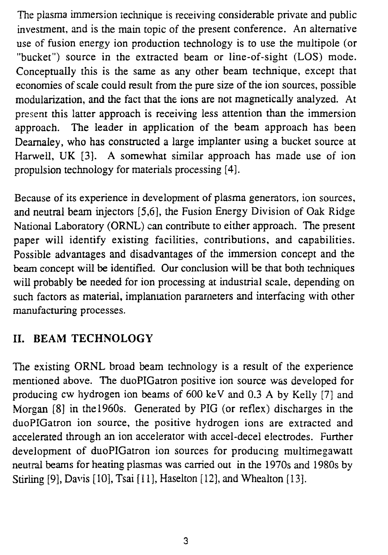The plasma immersion technique is receiving considerable private and public investment, and is the main topic of the present conference. An alternative use of fusion energy ion production technology is to use the multipole (or "bucket") source in the extracted beam or line-of-sight (LOS) mode. Conceptually this is the same as any other beam technique, except that economies of scale could result from the pure size of the ion sources, possible modularization, and the fact that the ions are not magnetically analyzed. At present this latter approach is receiving less attention than the immersion approach. The leader in application of the beam approach has been Dearnaley, who has constructed a large implanter using a bucket source at Harwell, UK [3]. A somewhat similar approach has made use of ion propulsion technology for materials processing [4],

Because of its experience in development of plasma generators, ion sources, and neutral beam injectors [5,6], the Fusion Energy Division of Oak Ridge National Laboratory (ORNL) can contribute to either approach. The present paper will identify existing facilities, contributions, and capabilities. Possible advantages and disadvantages of the immersion concept and the beam concept will be identified. Our conclusion will be that both techniques will probably be needed for ion processing at industrial scale, depending on such factors as material, implantation parameters and interfacing with other manufacturing processes.

## **II. BEAM TECHNOLOGY**

The existing ORNL broad beam technology is a result of the experience mentioned above. The duoPIGatron positive ion source was developed for producing cw hydrogen ion beams of 600 keV and 0.3 A by Kelly [7] and Morgan [8] in the 1960s. Generated by PIG (or reflex) discharges in the duoPIGatron ion source, the positive hydrogen ions are extracted and accelerated through an ion accelerator with accel-decel electrodes. Further development of duoPIGatron ion sources for producing multimegawatt neutral beams for heating plasmas was carried out in the 1970s and 1980s by Stirling [9], Davis [10], Tsai [11], Haselton [12], and Whealton [13].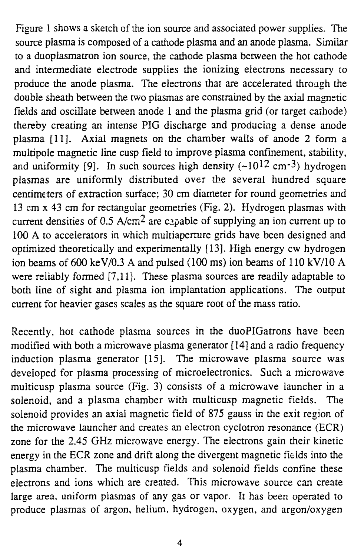Figure 1 shows a sketch of the ion source and associated power supplies. The source plasma is composed of a cathode plasma and an anode plasma. Similar to a duoplasmatron ion source, the cathode plasma between the hot cathode and intermediate electrode supplies the ionizing electrons necessary to produce the anode plasma. The electrons that are accelerated through the double sheath between the two plasmas are constrained by the axial magnetic fields and oscillate between anode 1 and the plasma grid (or target cathode) thereby creating an intense PIG discharge and producing a dense anode plasma [11]. Axial magnets on the chamber walls of anode 2 form a multipole magnetic line cusp field to improve plasma confinement, stability, and uniformity [9]. In such sources high density  $(-10^{12}$  cm<sup>-3</sup>) hydrogen plasmas are uniformly distributed over the several hundred square centimeters of extraction surface; 30 cm diameter for round geometries and 13 cm x 43 cm for rectangular geometries (Fig. 2). Hydrogen plasmas with current densities of 0.5 A/cm<sup>2</sup> are capable of supplying an ion current up to 100 A to accelerators in which multiaperture grids have been designed and optimized theoretically and experimentally [13]. High energy cw hydrogen ion beams of 600 keV/0.3 A and pulsed (100 ms) ion beams of 110 kV/10 A were reliably formed [7,11]. These plasma sources are readily adaptable to both line of sight and plasma ion implantation applications. The output current for heavier gases scales as the square root of the mass ratio.

Recently, hot cathode plasma sources in the duoPIGatrons have been modified with both a microwave plasma generator [14] and a radio frequency induction plasma generator [15]. The microwave plasma source was developed for plasma processing of microelectronics. Such a microwave multicusp plasma source (Fig. 3) consists of a microwave launcher in a solenoid, and a plasma chamber with multicusp magnetic fields. The solenoid provides an axial magnetic field of 875 gauss in the exit region of the microwave launcher and creates an electron cyclotron resonance (ECR) zone for the 2.45 GHz microwave energy. The electrons gain their kinetic energy in the ECR zone and drift along the divergent magnetic fields into the plasma chamber. The multicusp fields and solenoid fields confine these electrons and ions which are created. This microwave source can create large area, uniform plasmas of any gas or vapor. It has been operated to produce plasmas of argon, helium, hydrogen, oxygen, and argon/oxygen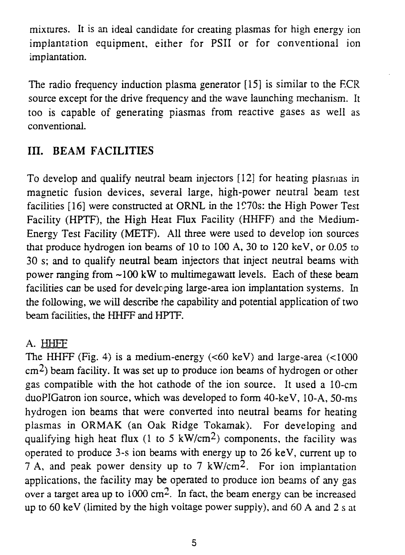mixtures. It is an ideal candidate for creating plasmas for high energy ion implantation equipment, either for PSII or for conventional ion implantation.

The radio frequency induction plasma generator [15] is similar to the ECR source except for the drive frequency and the wave launching mechanism. It too is capable of generating piasmas from reactive gases as well as conventional.

## **III. BEAM FACILITIES**

To develop and qualify neutral beam injectors [12] for heating plasmas in magnetic fusion devices, several large, high-power neutral beam test facilities [16] were constructed at ORNL in the 1970s: the High Power Test Facility (HPTF), the High Heat Flux Facility (HHFF) and the Medium-Energy Test Facility (METF). All three were used to develop ion sources that produce hydrogen ion beams of 10 to 100 A, 30 to 120 keV, or 0.05 to 30 s; and to qualify neutral beam injectors that inject neutral beams with power ranging from -100 kW to multimegawatt levels. Each of these beam facilities can be used for developing large-area ion implantation systems. In the following, we will describe the capability and potential application of two beam facilities, the HHFF and HPTF.

## A. HHFF

The HHFF (Fig. 4) is a medium-energy (<60 keV) and large-area (<1000  $\text{cm}^2$ ) beam facility. It was set up to produce ion beams of hydrogen or other gas compatible with the hot cathode of the ion source. It used a 10-cm duoPIGatron ion source, which was developed to form 40-keV, 10-A, 50-ms hydrogen ion beams that were converted into neutral beams for heating plasmas in ORMAK (an Oak Ridge Tokamak). For developing and qualifying high heat flux (1 to 5 kW/cm<sup>2</sup>) components, the facility was operated to produce 3-s ion beams with energy up to 26 keV, current up to 7 A, and peak power density up to 7 kW/cm<sup>2</sup>. For ion implantation applications, the facility may be operated to produce ion beams of any gas over a target area up to 1000 cm<sup>2</sup>. In fact, the beam energy can be increased up to 60 keV (limited by the high voltage power supply), and 60 A and 2 s at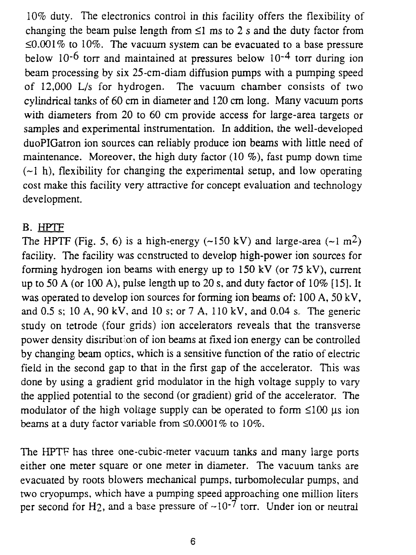10% duty. The electronics control in this facility offers the flexibility of changing the beam pulse length from  $\leq 1$  ms to 2 s and the duty factor from  $\leq 0.001\%$  to 10%. The vacuum system can be evacuated to a base pressure below  $10^{-6}$  torr and maintained at pressures below  $10^{-4}$  torr during ion beam processing by six 25-cm-diam diffusion pumps with a pumping speed of 12,000 L/s for hydrogen. The vacuum chamber consists of two cylindrical tanks of 60 cm in diameter and 120 cm long. Many vacuum ports with diameters from 20 to 60 cm provide access for large-area targets or samples and experimental instrumentation. In addition, the well-developed duoPIGatron ion sources can reliably produce ion beams with little need of maintenance. Moreover, the high duty factor  $(10 \%)$ , fast pump down time  $(-1 h)$ , flexibility for changing the experimental setup, and low operating cost make this facility very attractive for concept evaluation and technology development.

### B. HPTF

The HPTF (Fig. 5, 6) is a high-energy ( $\sim$ 150 kV) and large-area ( $\sim$ 1 m<sup>2</sup>) facility. The facility was constructed to develop high-power ion sources for forming hydrogen ion beams with energy up to  $150 \text{ kV}$  (or  $75 \text{ kV}$ ), current up to 50 A (or 100 A), pulse length up to 20 s, and duty factor of 10% [15]. It was operated to develop ion sources for forming ion beams of: 100 A, 50 kV, and 0.5 s; 10 A, 90 kV, and 10 s; or 7 A, 110 kV, and 0.04 s. The generic study on tetrode (four grids) ion accelerators reveals that the transverse power density distribution of ion beams at fixed ion energy can be controlled by changing beam optics, which is a sensitive function of the ratio of electric field in the second gap to that in the first gap of the accelerator. This was done by using a gradient grid modulator in the high voltage supply to vary the applied potential to the second (or gradient) grid of the accelerator. The modulator of the high voltage supply can be operated to form  $\leq 100 \text{ }\mu\text{s}$  ion beams at a duty factor variable from  $\leq 0.0001\%$  to  $10\%$ .

The HPTF has three one-cubic-meter vacuum tanks and many large ports either one meter square or one meter in diameter. The vacuum tanks are evacuated by roots blowers mechanical pumps, turbomolecular pumps, and two cryopumps, which have a pumping speed approaching one million liters per second for H<sub>2</sub>, and a base pressure of  $-10^{-7}$  torr. Under ion or neutral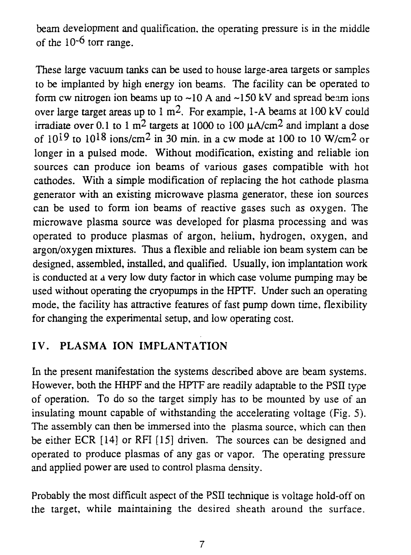beam development and qualification, the operating pressure is in the middle of the  $10^{-6}$  torr range.

These large vacuum tanks can be used to house large-area targets or samples to be implanted by high energy ion beams. The facility can be operated to form cw nitrogen ion beams up to  $\sim 10$  A and  $\sim 150$  kV and spread beam ions over large target areas up to 1 m<sup>2</sup>. For example, 1-A beams at 100 kV could irradiate over 0.1 to 1 m<sup>2</sup> targets at 1000 to 100  $\mu$ A/cm<sup>2</sup> and implant a dose of  $10^{19}$  to  $10^{18}$  ions/cm<sup>2</sup> in 30 min. in a cw mode at 100 to 10 W/cm<sup>2</sup> or longer in a pulsed mode. Without modification, existing and reliable ion sources can produce ion beams of various gases compatible with hot cathodes. With a simple modification of replacing the hot cathode plasma generator with an existing microwave plasma generator, these ion sources can be used to form ion beams of reactive gases such as oxygen. The microwave plasma source was developed for plasma processing and was operated to produce plasmas of argon, helium, hydrogen, oxygen, and argon/oxygen mixtures. Thus a flexible and reliable ion beam system can be designed, assembled, installed, and qualified. Usually, ion implantation work is conducted at a very low duty factor in which case volume pumping may be used without operating the cryopumps in the HPTF. Under such an operating mode, the facility has attractive features of fast pump down time, flexibility for changing the experimental setup, and low operating cost.

## IV. PLASMA **ION IMPLANTATION**

In the present manifestation the systems described above are beam systems. However, both the HHPF and the HPTF are readily adaptable to the PSII type of operation. To do so the target simply has to be mounted by use of an insulating mount capable of withstanding the accelerating voltage (Fig. 5). The assembly can then be immersed into the plasma source, which can then be either ECR [14] or RFI [15] driven. The sources can be designed and operated to produce plasmas of any gas or vapor. The operating pressure and applied power are used to control plasma density.

Probably the most difficult aspect of the PSII technique is voltage hold-off on the target, while maintaining the desired sheath around the surface.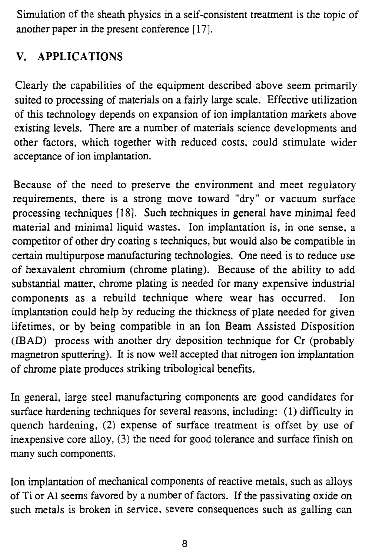Simulation of the sheath physics in a self-consistent treatment is the topic of another paper in the present conference [17].

## **V. APPLICATIONS**

Clearly the capabilities of the equipment described above seem primarily suited to processing of materials on a fairly large scale. Effective utilization of this technology depends on expansion of ion implantation markets above existing levels. There are a number of materials science developments and other factors, which together with reduced costs, could stimulate wider acceptance of ion implantation.

Because of the need to preserve the environment and meet regulatory requirements, there is a strong move toward "dry" or vacuum surface processing techniques [18]. Such techniques in general have minimal feed material and minimal liquid wastes. Ion implantation is, in one sense, a competitor of other dry coating s techniques, but would also be compatible in certain multipurpose manufacturing technologies. One need is to reduce use of hexavalent chromium (chrome plating). Because of the ability to add substantial matter, chrome plating is needed for many expensive industrial components as a rebuild technique where wear has occurred. Ion implantation could help by reducing the thickness of plate needed for given lifetimes, or by being compatible in an Ion Beam Assisted Disposition (IBAD) process with another dry deposition technique for Cr (probably magnetron sputtering). It is now well accepted that nitrogen ion implantation of chrome plate produces striking tribological benefits.

In general, large steel manufacturing components are good candidates for surface hardening techniques for several reasons, including: (1) difficulty in quench hardening, (2) expense of surface treatment is offset by use of inexpensive core alloy, (3) the need for good tolerance and surface finish on many such components.

Ion implantation of mechanical components of reactive metals, such as alloys of Ti or Al seems favored by a number of factors. If the passivating oxide on such metals is broken in service, severe consequences such as galling can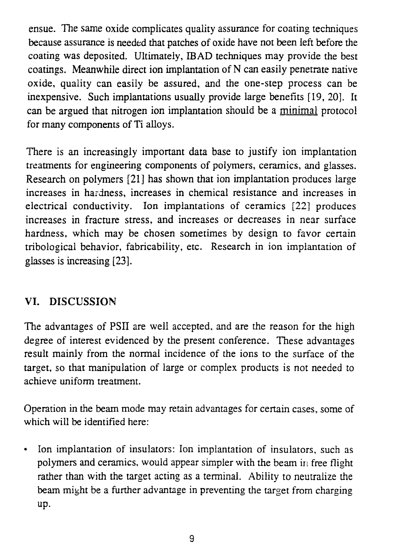ensue. The same oxide complicates quality assurance for coating techniques because assurance is needed that patches of oxide have not been left before the coating was deposited. Ultimately, IB AD techniques may provide the best coatings. Meanwhile direct ion implantation of N can easily penetrate native oxide, quality can easily be assured, and the one-step process can be inexpensive. Such implantations usually provide large benefits [19, 20]. It can be argued that nitrogen ion implantation should be a minimal protocol for many components of Ti alloys.

There is an increasingly important data base to justify ion implantation treatments for engineering components of polymers, ceramics, and glasses. Research on polymers [21] has shown that ion implantation produces large increases in hardness, increases in chemical resistance and increases in electrical conductivity. Ion implantations of ceramics [22] produces increases in fracture stress, and increases or decreases in near surface hardness, which may be chosen sometimes by design to favor certain tribological behavior, fabricability, etc. Research in ion implantation of glasses is increasing [23].

## VI. DISCUSSION

The advantages of PSII are well accepted, and are the reason for the high degree of interest evidenced by the present conference. These advantages result mainly from the normal incidence of the ions to the surface of the target, so that manipulation of large or complex products is not needed to achieve uniform treatment.

Operation in the beam mode may retain advantages for certain cases, some of which will be identified here:

• Ion implantation of insulators: Ion implantation of insulators, such as polymers and ceramics, would appear simpler with the beam in free flight rather than with the target acting as a terminal. Ability to neutralize the beam might be a further advantage in preventing the target from charging up.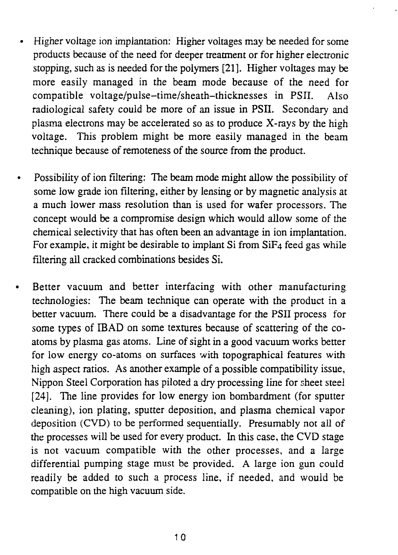- Higher voltage ion implantation: Higher voltages may be needed for some products because of the need for deeper treatment or for higher electronic stopping, such as is needed for the polymers [21]. Higher voltages may be more easily managed in the beam mode because of the need for compatible voltage/pulse-time/sheath-thicknesses in PSII. Also radiological safety could be more of an issue in PSII. Secondary and plasma electrons may be accelerated so as to produce X-rays by the high voltage. This problem might be more easily managed in the beam technique because of remoteness of the source from the product.
- Possibility of ion filtering: The beam mode might allow the possibility of some low grade ion filtering, either by lensing or by magnetic analysis at a much lower mass resolution than is used for wafer processors. The concept would be a compromise design which would allow some of the chemical selectivity that has often been an advantage in ion implantation. For example, it might be desirable to implant Si from  $SiF<sub>4</sub>$  feed gas while filtering all cracked combinations besides Si.
- Better vacuum and better interfacing with other manufacturing technologies: The beam technique can operate with the product in a better vacuum. There could be a disadvantage for the PSII process for some types of IBAD on some textures because of scattering of the coatoms by plasma gas atoms. Line of sight in a good vacuum works better for low energy co-atoms on surfaces with topographical features with high aspect ratios. As another example of a possible compatibility issue, Nippon Steel Corporation has piloted a dry processing line for sheet steel [24]. The line provides for low energy ion bombardment (for sputter cleaning), ion plating, sputter deposition, and plasma chemical vapor deposition (CVD) to be performed sequentially. Presumably not all of the processes will be used for every product. In this case, the CVD stage is not vacuum compatible with the other processes, and a large differential pumping stage must be provided. A large ion gun could readily be added to such a process line, if needed, and would be compatible on the high vacuum side.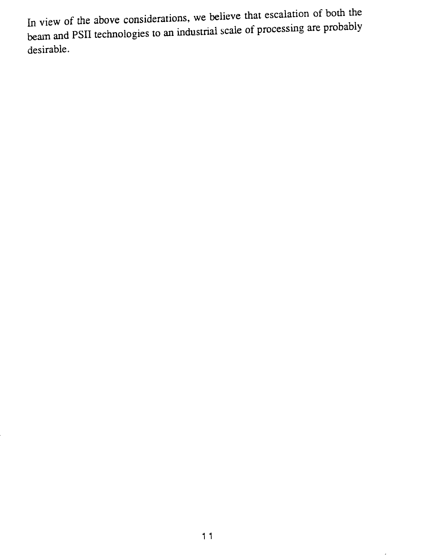In view of the above considerations, we believe that escalation of both the beam and PSII technologies to an industrial scale of processing are probably desirable.

 $\overline{\phantom{a}}$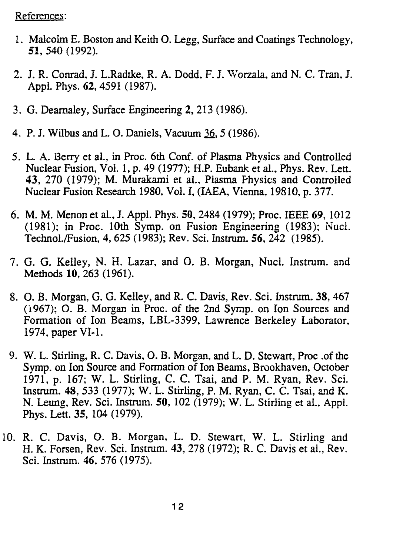References:

- 1. Malcolm E. Boston and Keith O. Legg, Surface and Coatings Technology, 51, 540 (1992).
- 2. J. R. Conrad, J. L.Radtke, R. A. Dodd, F. J. Worzala, and N. C. Tran, J. Appl. Phys. 62, 4591 (1987).
- 3. G. Deamaley, Surface Engineering 2, 213 (1986).
- 4. P. J. Wilbus and L. O. Daniels, Vacuum 36, 5 (1986).
- 5. L. A. Berry et al., in Proc. 6th Conf. of Plasma Physics and Controlled Nuclear Fusion, Vol. 1, p. 49 (1977); H.P. Eubank et al., Phys. Rev. Lett. 43, 270 (1979); M. Murakami et al., Plasma Physics and Controlled Nuclear Fusion Research 1980, Vol. I, (IAEA, Vienna, 19810, p. 377.
- 6. M. M. Menon et al., J. Appl. Phys. 50, 2484 (1979); Proc. IEEE 69, 1012 (1981); in Proc. 10th Symp. on Fusion Engineering (1983); Nucl. TechnoL/Fusion, 4, 625 (1983); Rev. Sci. Instrum. *56,* 242 (1985).
- 7. G. G. Kelley, N. H. Lazar, and O. B. Morgan, Nucl. Instrum. and Methods 10, 263 (1961).
- 8. O. B. Morgan, G. G. Kelley, and R. C. Davis, Rev. Sci. Instrum. 38,467 (1967); O. B. Morgan in Proc. of the 2nd Symp. on Ion Sources and Formation of Ion Beams, LBL-3399, Lawrence Berkeley Laborator, 1974, paper VI-1.
- 9. W. L. Stirling, R. C. Davis, O. B. Morgan, and L. D. Stewart, Proc .of the Symp. on Ion Source and Formation of Ion Beams, Brookhaven, October 1971, p. 167; W. L. Stirling, C. C. Tsai, and P. M. Ryan, Rev. Sci. Instrum. 48, 533 (1977); W. L. Stirling, P. M. Ryan, C. C. Tsai, and K. N. Leung, Rev. Sci. Instrum. 50, 102 (1979); W. L. Stirling et aL, Appl. Phys. Lett. 35, 104 (1979).
- 10. R. C. Davis, O. B. Morgan, L. D. Stewart, W. L. Stirling and H. K. Forsen, Rev. Sci. Instrum, 43, 278 (1972); R. C. Davis et al., Rev. Sci. Instrum. 46, 576 (1975).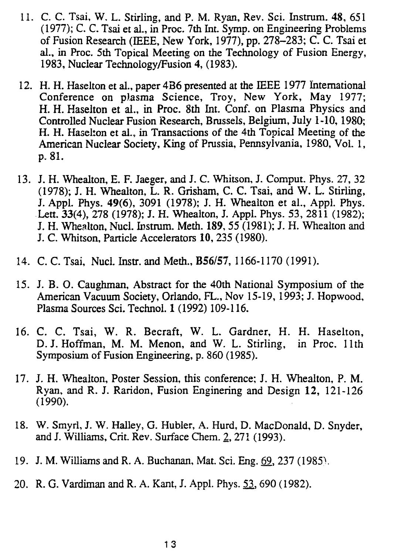- 11. *C. C.* Tsai, W. L. Stirling, and P. M. Ryan, Rev. Sci. Instrum. 48, 651 (1977); C. C. Tsai et aL, in Proc. 7th Int. Symp. on Engineering Problems of Fusion Research (IEEE, New York, 1977), pp. 278-283; C. C. Tsai et al., in Proc. 5th Topical Meeting on the Technology of Fusion Energy, 1983, Nuclear Technology/Fusion 4, (1983).
- 12. H. H. Haselton et al., paper 4B6 presented at the IEEE 1977 International Conference on plasma Science, Troy, New York, May 1977; H. H. Haselton et al., in Proc. 8th Int. Conf. on Plasma Physics and Controlled Nuclear Fusion Research, Brussels, Belgium, July 1-10,1980; H. H. Haselton et al., in Transactions of the 4th Topical Meeting of the American Nuclear Society, King of Prussia, Pennsylvania, 1980, Vol. 1, p. 81.
- 13. J. H. Whealton, E. F. Jaeger, and J. C. Whitson, J. Comput. Phys. 27, 32 (1978); J. H. Whealton, L. R. Grisham, C. C. Tsai, and W. L. Stirling, J. Appl. Phys. **49(6),** 3091 (1978); J. H. Whealton et al., Appl. Phys. Lett. 33(4), 278 (1978); J. H. Whealton, J. Appl. Phys. 53, 2811 (1982); J. H. Whealton, Nucl. Instrum. Meth. **189,**55 (1981); J. H. Whealton and J. C. Whitson, Particle Accelerators 10, 235 (1980).
- 14. C. C. Tsai, Nucl. Instr. and Meth., B56/57, 1166-1170 (1991).
- 15. J. B. O. Caughman, Abstract for the 40th National Symposium of the American Vacuum Society, Orlando, FL., Nov 15-19,1993; J. Hopwood, Plasma Sources Sci. Technol. 1 (1992) 109-116.
- 16. C. C. Tsai, W. R. Becraft, W. L. Gardner, H. H. Haselton, D.J.Hoffman, M. M. Menon, and W. L. Stirling, in Proc. 11th Symposium of Fusion Engineering, p. 860 (1985).
- 17. J. H. Whealton, Poster Session, this conference; J. H. Whealton, P. M. Ryan, and R. J. Raridon, Fusion Enginering and Design 12, 121-126 (1990).
- 18. W. Smyrl, J. W. Halley, G. Hubler, A. Hurd, D. MacDonald, D. Snyder, and J. Williams, Crit. Rev. Surface Chem. 2, 271 (1993).
- 19. J. M. Williams and R. A. Buchanan, Mat. Sci. Eng. 69, 237 (1985).
- 20. R. G. Vardiman and R. A. Kant, J. Appl. Phys. 53,690 (1982).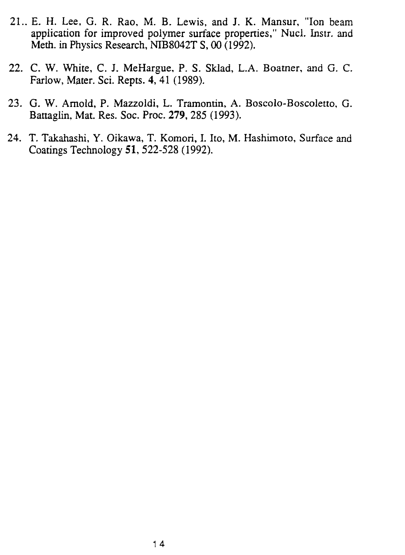- 21.. E. H. Lee, G. R. Rao, M. B. Lewis, and J. K. Mansur, "Ion beam application for improved polymer surface properties," Nucl. Instr. and Meth. in Physics Research, NIB8042T S, 00 (1992).
- 22. C. W. White, C. J. MeHargue, P. S. Sklad, L.A. Boatner, and G. C. Farlow, Mater. Sci. Repts. 4, 41 (1989).
- 23. G. W. Arnold, P. Mazzoldi, L. Tramontin, A. Boscolo-Boscoletto, G. Battagiin, Mat. Res. Soc. Proc. 279, 285 (1993).
- 24. T. Takahashi, Y. Oikawa, T. Komori, I. Ito, M. Hashimoto, Surface and Coatings Technology 51, 522-528 (1992).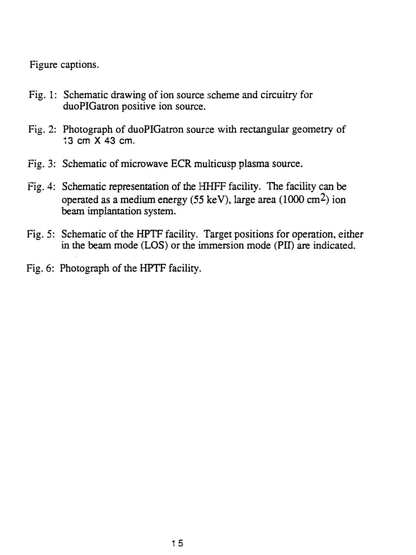Figure captions.

- Fig. 1: Schematic drawing of ion source scheme and circuitry for duoPIGatron positive ion source.
- Fig. 2: Photograph of duoPIGatron source with rectangular geometry of 13 cm X 43 cm.
- Fig. 3: Schematic of microwave ECR multicusp plasma source.
- Fig. 4: Schematic representation of the HHFF facility. The facility can be operated as a medium energy (55 keV), large area (1000 cm<sup>2</sup>) ion beam implantation system.
- Fig. 5: Schematic of the HPTF facility. Target positions for operation, either in the beam mode (LOS) or the immersion mode (PII) are indicated.
- Fig. 6: Photograph of the HPTF facility.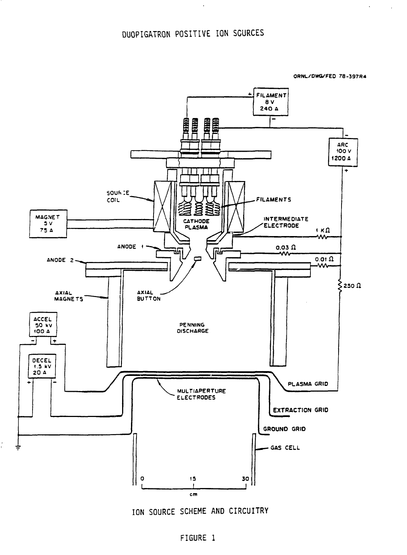**ORNL/OWG/FEO 78-397R4**

 $\hat{\mathbf{v}}$ 

 $\mathcal{L}$ 



ION SOURCE SCHEME AND CIRCUITRY

#### FIGURE 1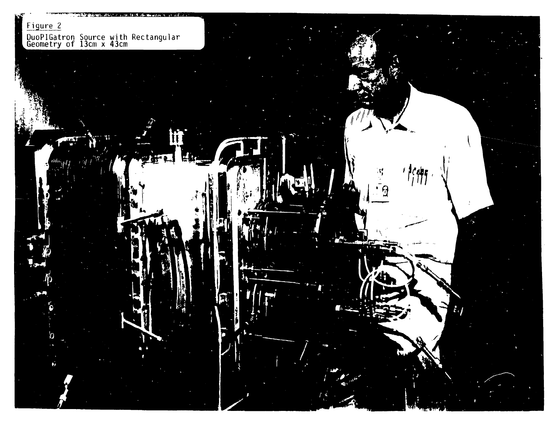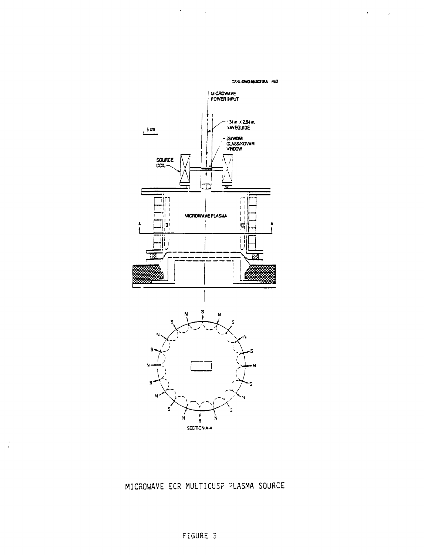CRAL-DWG MAJO31RA FED

 $\bullet$  -  $\sim$  -  $\sim$ 



 $\mathcal{A}^{\text{max}}_{\text{max}}$  and  $\mathcal{A}^{\text{max}}_{\text{max}}$ 

MICROWAVE ECR MULTICUS? =LASHA SOURCE

 $\frac{1}{\sqrt{2}}$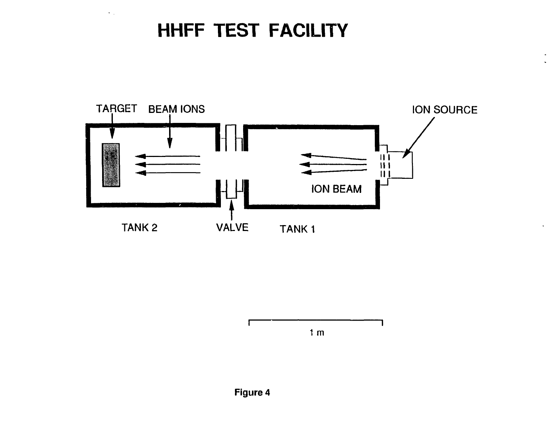# **HHFF TEST FACILITY**

 $\bullet$   $\pi$ 



1 m

 $\mathbf{v}$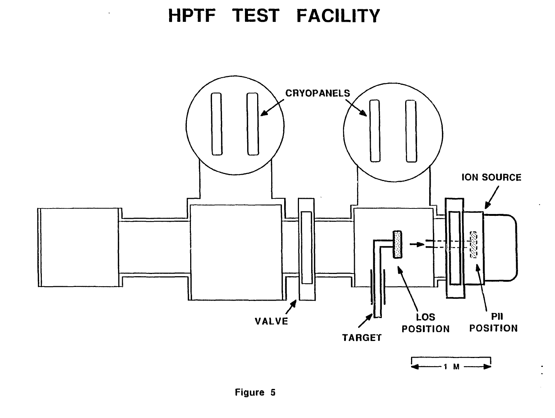# **HPTF TEST FACILITY**

 $\Box$